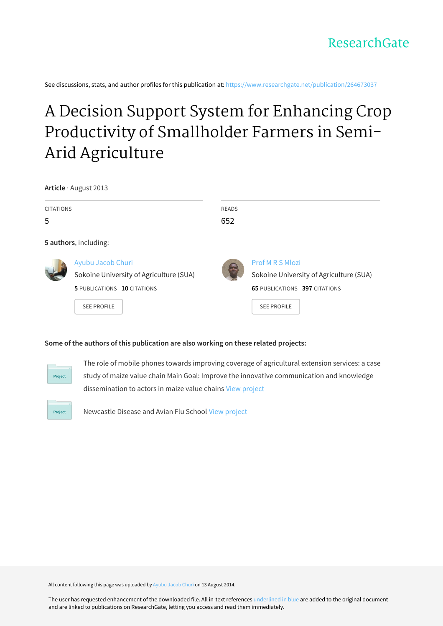See discussions, stats, and author profiles for this publication at: [https://www.researchgate.net/publication/264673037](https://www.researchgate.net/publication/264673037_A_Decision_Support_System_for_Enhancing_Crop_Productivity_of_Smallholder_Farmers_in_Semi-Arid_Agriculture?enrichId=rgreq-d0f2f52c1585934ed6573581f0aeb8c6-XXX&enrichSource=Y292ZXJQYWdlOzI2NDY3MzAzNztBUzoxMjk1NjQwMDkzMDgxNjBAMTQwNzkwMTg3NjAxOQ%3D%3D&el=1_x_2&_esc=publicationCoverPdf)

# A Decision Support System for Enhancing Crop Productivity of [Smallholder](https://www.researchgate.net/publication/264673037_A_Decision_Support_System_for_Enhancing_Crop_Productivity_of_Smallholder_Farmers_in_Semi-Arid_Agriculture?enrichId=rgreq-d0f2f52c1585934ed6573581f0aeb8c6-XXX&enrichSource=Y292ZXJQYWdlOzI2NDY3MzAzNztBUzoxMjk1NjQwMDkzMDgxNjBAMTQwNzkwMTg3NjAxOQ%3D%3D&el=1_x_3&_esc=publicationCoverPdf) Farmers in Semi-Arid Agriculture

**Article** · August 2013

| <b>CITATIONS</b><br>5 |                                                                                                                   | <b>READS</b><br>652 |                                                                                                                           |
|-----------------------|-------------------------------------------------------------------------------------------------------------------|---------------------|---------------------------------------------------------------------------------------------------------------------------|
|                       | 5 authors, including:                                                                                             |                     |                                                                                                                           |
|                       | Ayubu Jacob Churi<br>Sokoine University of Agriculture (SUA)<br>5 PUBLICATIONS 10 CITATIONS<br><b>SEE PROFILE</b> |                     | Prof M R S Mlozi<br>Sokoine University of Agriculture (SUA)<br><b>65 PUBLICATIONS 397 CITATIONS</b><br><b>SEE PROFILE</b> |

## **Some of the authors of this publication are also working on these related projects:**



The role of mobile phones towards improving coverage of agricultural extension services: a case study of maize value chain Main Goal: Improve the innovative communication and knowledge dissemination to actors in maize value chains View [project](https://www.researchgate.net/project/The-role-of-mobile-phones-towards-improving-coverage-of-agricultural-extension-services-a-case-study-of-maize-value-chain-Main-Goal-Improve-the-innovative-communication-and-knowledge-dissemination-to?enrichId=rgreq-d0f2f52c1585934ed6573581f0aeb8c6-XXX&enrichSource=Y292ZXJQYWdlOzI2NDY3MzAzNztBUzoxMjk1NjQwMDkzMDgxNjBAMTQwNzkwMTg3NjAxOQ%3D%3D&el=1_x_9&_esc=publicationCoverPdf)



Newcastle Disease and Avian Flu School View [project](https://www.researchgate.net/project/Newcastle-Disease-and-Avian-Flu-School?enrichId=rgreq-d0f2f52c1585934ed6573581f0aeb8c6-XXX&enrichSource=Y292ZXJQYWdlOzI2NDY3MzAzNztBUzoxMjk1NjQwMDkzMDgxNjBAMTQwNzkwMTg3NjAxOQ%3D%3D&el=1_x_9&_esc=publicationCoverPdf)

All content following this page was uploaded by [Ayubu](https://www.researchgate.net/profile/Ayubu_Churi?enrichId=rgreq-d0f2f52c1585934ed6573581f0aeb8c6-XXX&enrichSource=Y292ZXJQYWdlOzI2NDY3MzAzNztBUzoxMjk1NjQwMDkzMDgxNjBAMTQwNzkwMTg3NjAxOQ%3D%3D&el=1_x_10&_esc=publicationCoverPdf) Jacob Churi on 13 August 2014.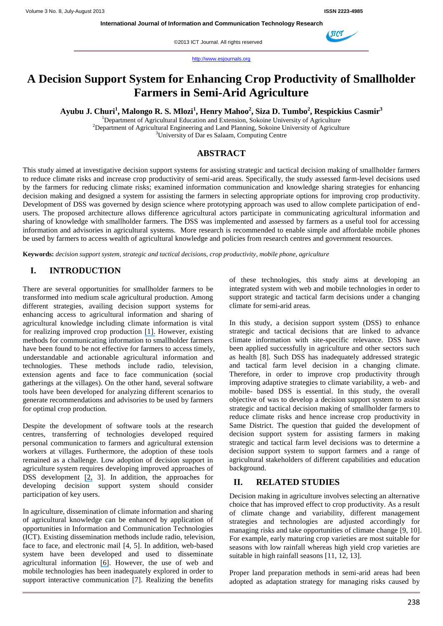©2013 ICT Journal. All rights reserved

http://www.esjournals.org

## **A Decision Support System for Enhancing Crop Productivity of Smallholder Farmers in Semi-Arid Agriculture**

**Ayubu J. Churi<sup>1</sup> , Malongo R. S. Mlozi<sup>1</sup> , Henry Mahoo<sup>2</sup> , Siza D. Tumbo<sup>2</sup> , Respickius Casmir<sup>3</sup>**

<sup>1</sup>Department of Agricultural Education and Extension, Sokoine University of Agriculture <sup>2</sup>Department of Agricultural Engineering and Land Planning, Sokoine University of Agriculture <sup>3</sup>University of Dar es Salaam, Computing Centre

## **ABSTRACT**

This study aimed at investigative decision support systems for assisting strategic and tactical decision making of smallholder farmers to reduce climate risks and increase crop productivity of semi-arid areas. Specifically, the study assessed farm-level decisions used by the farmers for reducing climate risks; examined information communication and knowledge sharing strategies for enhancing decision making and designed a system for assisting the farmers in selecting appropriate options for improving crop productivity. Development of DSS was governed by design science where prototyping approach was used to allow complete participation of endusers. The proposed architecture allows difference agricultural actors participate in communicating agricultural information and sharing of knowledge with smallholder farmers. The DSS was implemented and assessed by farmers as a useful tool for accessing information and advisories in agricultural systems. More research is recommended to enable simple and affordable mobile phones be used by farmers to access wealth of agricultural knowledge and policies from research centres and government resources.

**Keywords:** *decision support system, strategic and tactical decisions, crop productivity, mobile phone, agriculture*

## **I. INTRODUCTION**

There are several opportunities for smallholder farmers to be transformed into medium scale agricultural production. Among different strategies, availing decision support systems for enhancing access to agricultural information and sharing of agricultural knowledge including climate information is vital for realizing improved crop production [\[1\].](https://www.researchgate.net/publication/264673003_Understanding_Farmers_Information_Communication_Strategies_for_Managing_Climate_Risks_in_Rural_Semi-Arid_Areas_Tanzania?el=1_x_8&enrichId=rgreq-d0f2f52c1585934ed6573581f0aeb8c6-XXX&enrichSource=Y292ZXJQYWdlOzI2NDY3MzAzNztBUzoxMjk1NjQwMDkzMDgxNjBAMTQwNzkwMTg3NjAxOQ==) However, existing methods for communicating information to smallholder farmers have been found to be not effective for farmers to access timely, understandable and actionable agricultural information and technologies. These methods include radio, television, extension agents and face to face communication (social gatherings at the villages). On the other hand, several software tools have been developed for analyzing different scenarios to generate recommendations and advisories to be used by farmers for optimal crop production.

Despite the development of software tools at the research centres, transferring of technologies developed required personal communication to farmers and agricultural extension workers at villages. Furthermore, the adoption of these tools remained as a challenge. Low adoption of decision support in agriculture system requires developing improved approaches of DSS development [\[2,](https://www.researchgate.net/publication/236047949_Trustworthiness_and_Negative_Affect_Predict_Economic_Decision-Making?el=1_x_8&enrichId=rgreq-d0f2f52c1585934ed6573581f0aeb8c6-XXX&enrichSource=Y292ZXJQYWdlOzI2NDY3MzAzNztBUzoxMjk1NjQwMDkzMDgxNjBAMTQwNzkwMTg3NjAxOQ==) 3]. In addition, the approaches for developing decision support system should consider participation of key users.

In agriculture, dissemination of climate information and sharing of agricultural knowledge can be enhanced by application of opportunities in Information and Communication Technologies (ICT). Existing dissemination methods include radio, television, face to face, and electronic mail [4, 5]. In addition, web-based system have been developed and used to disseminate agricultural information [\[6\]](https://www.researchgate.net/publication/222700032_AgClimate_A_climate_forecast_information_system_for_agricultural_risk_management_in_the_southeastern_USA?el=1_x_8&enrichId=rgreq-d0f2f52c1585934ed6573581f0aeb8c6-XXX&enrichSource=Y292ZXJQYWdlOzI2NDY3MzAzNztBUzoxMjk1NjQwMDkzMDgxNjBAMTQwNzkwMTg3NjAxOQ==). However, the use of web and mobile technologies has been inadequately explored in order to support interactive communication [7]. Realizing the benefits

of these technologies, this study aims at developing an integrated system with web and mobile technologies in order to support strategic and tactical farm decisions under a changing climate for semi-arid areas.

In this study, a decision support system (DSS) to enhance strategic and tactical decisions that are linked to advance climate information with site-specific relevance. DSS have been applied successfully in agriculture and other sectors such as health [8]. Such DSS has inadequately addressed strategic and tactical farm level decision in a changing climate. Therefore, in order to improve crop productivity through improving adaptive strategies to climate variability, a web- and mobile- based DSS is essential. In this study, the overall objective of was to develop a decision support system to assist strategic and tactical decision making of smallholder farmers to reduce climate risks and hence increase crop productivity in Same District. The question that guided the development of decision support system for assisting farmers in making strategic and tactical farm level decisions was to determine a decision support system to support farmers and a range of agricultural stakeholders of different capabilities and education background.

## **II. RELATED STUDIES**

Decision making in agriculture involves selecting an alternative choice that has improved effect to crop productivity. As a result of climate change and variability, different management strategies and technologies are adjusted accordingly for managing risks and take opportunities of climate change [9, 10]. For example, early maturing crop varieties are most suitable for seasons with low rainfall whereas high yield crop varieties are suitable in high rainfall seasons [11, 12, 13].

Proper land preparation methods in semi-arid areas had been adopted as adaptation strategy for managing risks caused by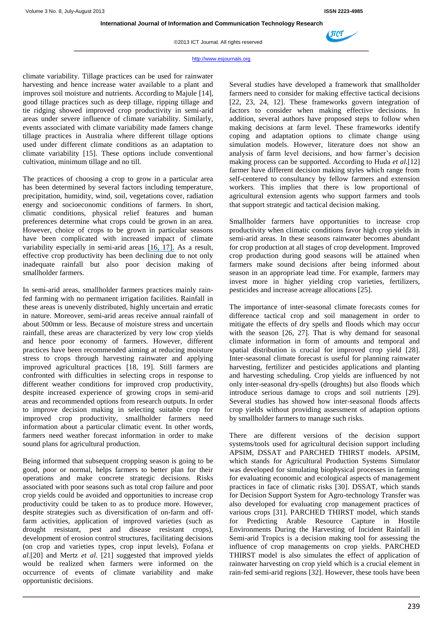

(NCT

©2013 ICT Journal. All rights reserved

#### http://www.esjournals.org

climate variability. Tillage practices can be used for rainwater harvesting and hence increase water available to a plant and improves soil moisture and nutrients. According to Majule [14], good tillage practices such as deep tillage, ripping tillage and tie ridging showed improved crop productivity in semi-arid areas under severe influence of climate variability. Similarly, events associated with climate variability made famers change tillage practices in Australia where different tillage options used under different climate conditions as an adaptation to climate variability [15]. These options include conventional cultivation, minimum tillage and no till.

The practices of choosing a crop to grow in a particular area has been determined by several factors including temperature, precipitation, humidity, wind, soil, vegetations cover, radiation energy and socioeconomic conditions of farmers. In short, climatic conditions, physical relief features and human preferences determine what crops could be grown in an area. However, choice of crops to be grown in particular seasons have been complicated with increased impact of climate variability especially in semi-arid areas [\[16, 17\].](https://www.researchgate.net/publication/222816680_An_Analysis_of_Crop_Choice_Adapting_to_Climate_Change_in_Latin_American_Farms?el=1_x_8&enrichId=rgreq-d0f2f52c1585934ed6573581f0aeb8c6-XXX&enrichSource=Y292ZXJQYWdlOzI2NDY3MzAzNztBUzoxMjk1NjQwMDkzMDgxNjBAMTQwNzkwMTg3NjAxOQ==) As a result, effective crop productivity has been declining due to not only inadequate rainfall but also poor decision making of smallholder farmers.

In semi-arid areas, smallholder farmers practices mainly rainfed farming with no permanent irrigation facilities. Rainfall in these areas is unevenly distributed, highly uncertain and erratic in nature. Moreover, semi-arid areas receive annual rainfall of about 500mm or less. Because of moisture stress and uncertain rainfall, these areas are characterized by very low crop yields and hence poor economy of farmers. However, different practices have been recommended aiming at reducing moisture stress to crops through harvesting rainwater and applying improved agricultural practices [18, 19]. Still farmers are confronted with difficulties in selecting crops in response to different weather conditions for improved crop productivity, despite increased experience of growing crops in semi-arid areas and recommended options from research outputs. In order to improve decision making in selecting suitable crop for improved crop productivity, smallholder farmers need information about a particular climatic event. In other words, farmers need weather forecast information in order to make sound plans for agricultural production.

Being informed that subsequent cropping season is going to be good, poor or normal, helps farmers to better plan for their operations and make concrete strategic decisions. Risks associated with poor seasons such as total crop failure and poor crop yields could be avoided and opportunities to increase crop productivity could be taken to as to produce more. However, despite strategies such as diversification of on-farm and offfarm activities, application of improved varieties (such as drought resistant, pest and disease resistant crops), development of erosion control structures, facilitating decisions (on crop and varieties types, crop input levels), Fofana *et al*.[20] and Mertz *et al*. [21] suggested that improved yields would be realized when farmers were informed on the occurrence of events of climate variability and make opportunistic decisions.

Several studies have developed a framework that smallholder farmers need to consider for making effective tactical decisions [22, 23, 24, 12]. These frameworks govern integration of factors to consider when making effective decisions. In addition, several authors have proposed steps to follow when making decisions at farm level. These frameworks identify coping and adaptation options to climate change using simulation models. However, literature does not show an analysis of farm level decisions, and how farmer's decision making process can be supported. According to Huda *et al.*[12] farmer have different decision making styles which range from self-centered to consultancy by fellow farmers and extension workers. This implies that there is low proportional of agricultural extension agents who support farmers and tools that support strategic and tactical decision making.

Smallholder farmers have opportunities to increase crop productivity when climatic conditions favor high crop yields in semi-arid areas. In these seasons rainwater becomes abundant for crop production at all stages of crop development. Improved crop production during good seasons will be attained when farmers make sound decisions after being informed about season in an appropriate lead time. For example, farmers may invest more in higher yielding crop varieties, fertilizers, pesticides and increase acreage allocations [25].

The importance of inter-seasonal climate forecasts comes for difference tactical crop and soil management in order to mitigate the effects of dry spells and floods which may occur with the season [26, 27]. That is why demand for seasonal climate information in form of amounts and temporal and spatial distribution is crucial for improved crop yield [28]. Inter-seasonal climate forecast is useful for planning rainwater harvesting, fertilizer and pesticides applications and planting and harvesting scheduling. Crop yields are influenced by not only inter-seasonal dry-spells (droughts) but also floods which introduce serious damage to crops and soil nutrients [29]. Several studies has showed how inter-seasonal floods affects crop yields without providing assessment of adaption options by smallholder farmers to manage such risks.

There are different versions of the decision support systems/tools used for agricultural decision support including APSIM, DSSAT and PARCHED THIRST models. APSIM, which stands for Agricultural Production Systems Simulator was developed for simulating biophysical processes in farming for evaluating economic and ecological aspects of management practices in face of climatic risks [30]. DSSAT, which stands for Decision Support System for Agro-technology Transfer was also developed for evaluating crop management practices of various crops [31]. PARCHED THIRST model, which stands for Predicting Arable Resource Capture in Hostile Environments During the Harvesting of Incident Rainfall in Semi-arid Tropics is a decision making tool for assessing the influence of crop managements on crop yields. PARCHED THIRST model is also simulates the effect of application of rainwater harvesting on crop yield which is a crucial element in rain-fed semi-arid regions [32]. However, these tools have been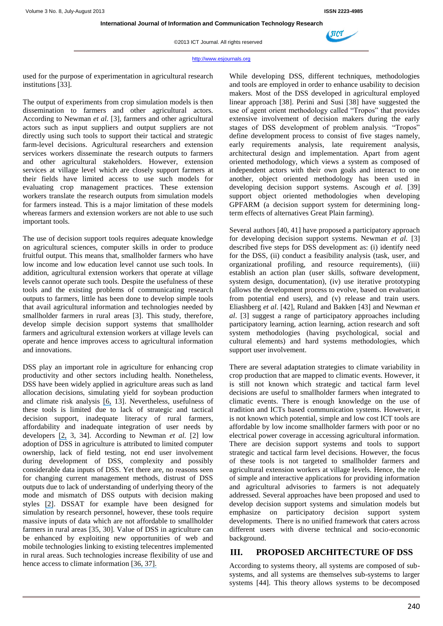

©2013 ICT Journal. All rights reserved

#### http://www.esjournals.org

used for the purpose of experimentation in agricultural research institutions [33].

The output of experiments from crop simulation models is then dissemination to farmers and other agricultural actors. According to Newman *et al.* [3], farmers and other agricultural actors such as input suppliers and output suppliers are not directly using such tools to support their tactical and strategic farm-level decisions. Agricultural researchers and extension services workers disseminate the research outputs to farmers and other agricultural stakeholders. However, extension services at village level which are closely support farmers at their fields have limited access to use such models for evaluating crop management practices. These extension workers translate the research outputs from simulation models for farmers instead. This is a major limitation of these models whereas farmers and extension workers are not able to use such important tools.

The use of decision support tools requires adequate knowledge on agricultural sciences, computer skills in order to produce fruitful output. This means that, smallholder farmers who have low income and low education level cannot use such tools. In addition, agricultural extension workers that operate at village levels cannot operate such tools. Despite the usefulness of these tools and the existing problems of communicating research outputs to farmers, little has been done to develop simple tools that avail agricultural information and technologies needed by smallholder farmers in rural areas [3]. This study, therefore, develop simple decision support systems that smallholder farmers and agricultural extension workers at village levels can operate and hence improves access to agricultural information and innovations.

DSS play an important role in agriculture for enhancing crop productivity and other sectors including health. Nonetheless, DSS have been widely applied in agriculture areas such as land allocation decisions, simulating yield for soybean production and climate risk analysis [\[6,](https://www.researchgate.net/publication/222700032_AgClimate_A_climate_forecast_information_system_for_agricultural_risk_management_in_the_southeastern_USA?el=1_x_8&enrichId=rgreq-d0f2f52c1585934ed6573581f0aeb8c6-XXX&enrichSource=Y292ZXJQYWdlOzI2NDY3MzAzNztBUzoxMjk1NjQwMDkzMDgxNjBAMTQwNzkwMTg3NjAxOQ==) 13]. Nevertheless, usefulness of these tools is limited due to lack of strategic and tactical decision support, inadequate literacy of rural farmers, affordability and inadequate integration of user needs by developers [\[2,](https://www.researchgate.net/publication/236047949_Trustworthiness_and_Negative_Affect_Predict_Economic_Decision-Making?el=1_x_8&enrichId=rgreq-d0f2f52c1585934ed6573581f0aeb8c6-XXX&enrichSource=Y292ZXJQYWdlOzI2NDY3MzAzNztBUzoxMjk1NjQwMDkzMDgxNjBAMTQwNzkwMTg3NjAxOQ==) 3, 34]. According to Newman *et al.* [2] low adoption of DSS in agriculture is attributed to limited computer ownership, lack of field testing, not end user involvement during development of DSS, complexity and possibly considerable data inputs of DSS. Yet there are, no reasons seen for changing current management methods, distrust of DSS outputs due to lack of understanding of underlying theory of the mode and mismatch of DSS outputs with decision making styles [\[2\]](https://www.researchgate.net/publication/236047949_Trustworthiness_and_Negative_Affect_Predict_Economic_Decision-Making?el=1_x_8&enrichId=rgreq-d0f2f52c1585934ed6573581f0aeb8c6-XXX&enrichSource=Y292ZXJQYWdlOzI2NDY3MzAzNztBUzoxMjk1NjQwMDkzMDgxNjBAMTQwNzkwMTg3NjAxOQ==). DSSAT for example have been designed for simulation by research personnel, however, these tools require massive inputs of data which are not affordable to smallholder farmers in rural areas [35, 30]. Value of DSS in agriculture can be enhanced by exploiting new opportunities of web and mobile technologies linking to existing telecentres implemented in rural areas. Such technologies increase flexibility of use and hence access to climate information [\[36, 37\].](https://www.researchgate.net/publication/255593188_An_Introduction_to_Web-based_Support_Systems?el=1_x_8&enrichId=rgreq-d0f2f52c1585934ed6573581f0aeb8c6-XXX&enrichSource=Y292ZXJQYWdlOzI2NDY3MzAzNztBUzoxMjk1NjQwMDkzMDgxNjBAMTQwNzkwMTg3NjAxOQ==)

While developing DSS, different techniques, methodologies and tools are employed in order to enhance usability to decision makers. Most of the DSS developed in agricultural employed linear approach [38]. Perini and Susi [38] have suggested the use of agent orient methodology called "Tropos" that provides extensive involvement of decision makers during the early stages of DSS development of problem analysis. "Tropos" define development process to consist of five stages namely, early requirements analysis, late requirement analysis, architectural design and implementation. Apart from agent oriented methodology, which views a system as composed of independent actors with their own goals and interact to one another, object oriented methodology has been used in developing decision support systems. Ascough *et al.* [39] support object oriented methodologies when developing GPFARM (a decision support system for determining longterm effects of alternatives Great Plain farming).

Several authors [40, 41] have proposed a participatory approach for developing decision support systems. Newman *et al.* [3] described five steps for DSS development as: (i) identify need for the DSS, (ii) conduct a feasibility analysis (task, user, and organizational profiling, and resource requirements), (iii) establish an action plan (user skills, software development, system design, documentation), (iv) use iterative prototyping (allows the development process to evolve, based on evaluation from potential end users), and (v) release and train users. Eliashberg *et al*. [42], Ruland and Bakken [43] and Newman *et al*. [3] suggest a range of participatory approaches including participatory learning, action learning, action research and soft system methodologies (having psychological, social and cultural elements) and hard systems methodologies, which support user involvement.

There are several adaptation strategies to climate variability in crop production that are mapped to climatic events. However, it is still not known which strategic and tactical farm level decisions are useful to smallholder farmers when integrated to climatic events. There is enough knowledge on the use of tradition and ICTs based communication systems. However, it is not known which potential, simple and low cost ICT tools are affordable by low income smallholder farmers with poor or no electrical power coverage in accessing agricultural information. There are decision support systems and tools to support strategic and tactical farm level decisions. However, the focus of these tools is not targeted to smallholder farmers and agricultural extension workers at village levels. Hence, the role of simple and interactive applications for providing information and agricultural advisories to farmers is not adequately addressed. Several approaches have been proposed and used to develop decision support systems and simulation models but emphasize on participatory decision support system developments. There is no unified framework that caters across different users with diverse technical and socio-economic background.

## **III. PROPOSED ARCHITECTURE OF DSS**

According to systems theory, all systems are composed of subsystems, and all systems are themselves sub-systems to larger systems [44]. This theory allows systems to be decomposed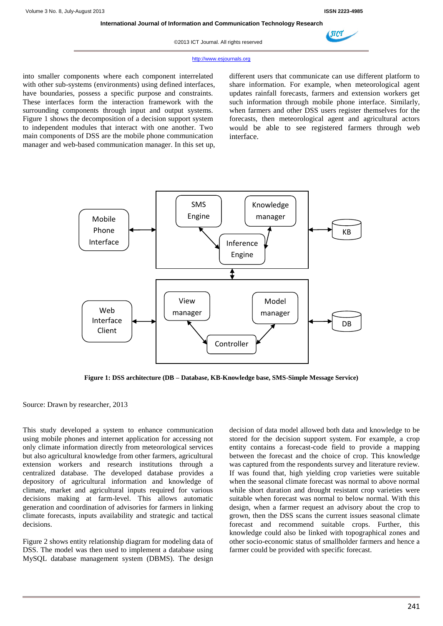

©2013 ICT Journal. All rights reserved



#### http://www.esjournals.org

into smaller components where each component interrelated with other sub-systems (environments) using defined interfaces, have boundaries, possess a specific purpose and constraints. These interfaces form the interaction framework with the surrounding components through input and output systems. Figure 1 shows the decomposition of a decision support system to independent modules that interact with one another. Two main components of DSS are the mobile phone communication manager and web-based communication manager. In this set up, different users that communicate can use different platform to share information. For example, when meteorological agent updates rainfall forecasts, farmers and extension workers get such information through mobile phone interface. Similarly, when farmers and other DSS users register themselves for the forecasts, then meteorological agent and agricultural actors would be able to see registered farmers through web interface.



**Figure 1: DSS architecture (DB – Database, KB-Knowledge base, SMS-Simple Message Service)**

Source: Drawn by researcher, 2013

This study developed a system to enhance communication using mobile phones and internet application for accessing not only climate information directly from meteorological services but also agricultural knowledge from other farmers, agricultural extension workers and research institutions through a centralized database. The developed database provides a depository of agricultural information and knowledge of climate, market and agricultural inputs required for various decisions making at farm-level. This allows automatic generation and coordination of advisories for farmers in linking climate forecasts, inputs availability and strategic and tactical decisions.

Figure 2 shows entity relationship diagram for modeling data of DSS. The model was then used to implement a database using MySQL database management system (DBMS). The design decision of data model allowed both data and knowledge to be stored for the decision support system. For example, a crop entity contains a forecast-code field to provide a mapping between the forecast and the choice of crop. This knowledge was captured from the respondents survey and literature review. If was found that, high yielding crop varieties were suitable when the seasonal climate forecast was normal to above normal while short duration and drought resistant crop varieties were suitable when forecast was normal to below normal. With this design, when a farmer request an advisory about the crop to grown, then the DSS scans the current issues seasonal climate forecast and recommend suitable crops. Further, this knowledge could also be linked with topographical zones and other socio-economic status of smallholder farmers and hence a farmer could be provided with specific forecast.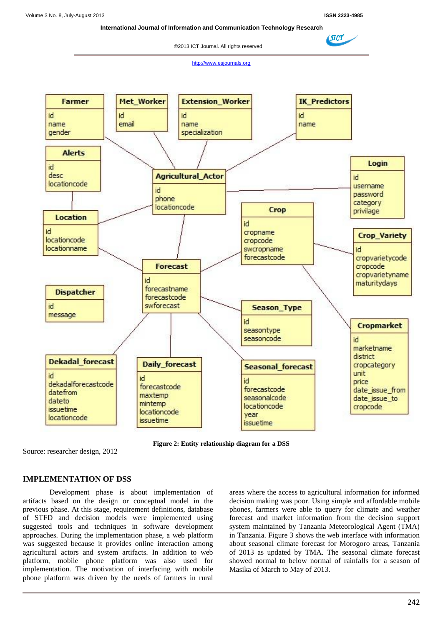$\blacktriangle$ SICT

 **International Journal of Information and Communication Technology Research**

©2013 ICT Journal. All rights reserved

http://www.esjournals.org



**Figure 2: Entity relationship diagram for a DSS**

Source: researcher design, 2012

## **IMPLEMENTATION OF DSS**

Development phase is about implementation of artifacts based on the design or conceptual model in the previous phase. At this stage, requirement definitions, database of STFD and decision models were implemented using suggested tools and techniques in software development approaches. During the implementation phase, a web platform was suggested because it provides online interaction among agricultural actors and system artifacts. In addition to web platform, mobile phone platform was also used for implementation. The motivation of interfacing with mobile phone platform was driven by the needs of farmers in rural

areas where the access to agricultural information for informed decision making was poor. Using simple and affordable mobile phones, farmers were able to query for climate and weather forecast and market information from the decision support system maintained by Tanzania Meteorological Agent (TMA) in Tanzania. Figure 3 shows the web interface with information about seasonal climate forecast for Morogoro areas, Tanzania of 2013 as updated by TMA. The seasonal climate forecast showed normal to below normal of rainfalls for a season of Masika of March to May of 2013.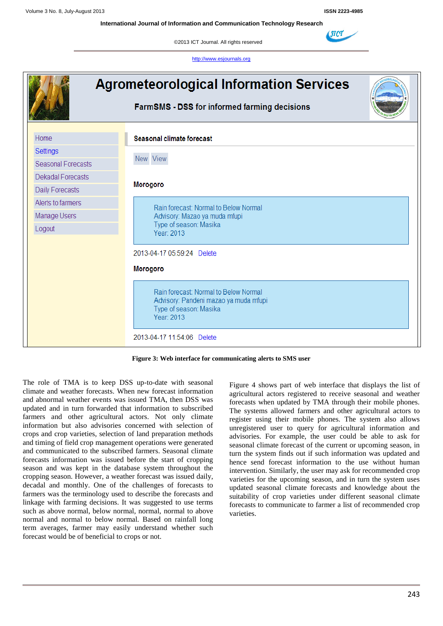**International Journal of Information and Communication Technology Research**

©2013 ICT Journal. All rights reserved

http://www.esjournals.org



| Figure 3: Web interface for communicating alerts to SMS user |  |  |  |  |  |
|--------------------------------------------------------------|--|--|--|--|--|
|--------------------------------------------------------------|--|--|--|--|--|

The role of TMA is to keep DSS up-to-date with seasonal climate and weather forecasts. When new forecast information and abnormal weather events was issued TMA, then DSS was updated and in turn forwarded that information to subscribed farmers and other agricultural actors. Not only climate information but also advisories concerned with selection of crops and crop varieties, selection of land preparation methods and timing of field crop management operations were generated and communicated to the subscribed farmers. Seasonal climate forecasts information was issued before the start of cropping season and was kept in the database system throughout the cropping season. However, a weather forecast was issued daily, decadal and monthly. One of the challenges of forecasts to farmers was the terminology used to describe the forecasts and linkage with farming decisions. It was suggested to use terms such as above normal, below normal, normal, normal to above normal and normal to below normal. Based on rainfall long term averages, farmer may easily understand whether such forecast would be of beneficial to crops or not.

Figure 4 shows part of web interface that displays the list of agricultural actors registered to receive seasonal and weather forecasts when updated by TMA through their mobile phones. The systems allowed farmers and other agricultural actors to register using their mobile phones. The system also allows unregistered user to query for agricultural information and advisories. For example, the user could be able to ask for seasonal climate forecast of the current or upcoming season, in turn the system finds out if such information was updated and hence send forecast information to the use without human intervention. Similarly, the user may ask for recommended crop varieties for the upcoming season, and in turn the system uses updated seasonal climate forecasts and knowledge about the suitability of crop varieties under different seasonal climate forecasts to communicate to farmer a list of recommended crop varieties.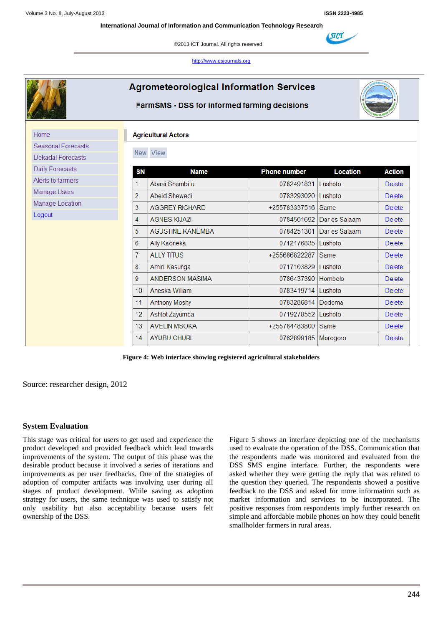(ЛСТ

©2013 ICT Journal. All rights reserved

http://www.esjournals.org

| <b>Agrometeorological Information Services</b><br><b>FarmSMS - DSS for informed farming decisions</b> |                 |                         |                      |                          |               |  |  |  |
|-------------------------------------------------------------------------------------------------------|-----------------|-------------------------|----------------------|--------------------------|---------------|--|--|--|
| Home<br><b>Agricultural Actors</b><br><b>Seasonal Forecasts</b>                                       |                 |                         |                      |                          |               |  |  |  |
| <b>Dekadal Forecasts</b>                                                                              |                 | New View                |                      |                          |               |  |  |  |
| <b>Daily Forecasts</b>                                                                                | <b>SN</b>       | <b>Name</b>             | <b>Phone number</b>  | <b>Location</b>          | <b>Action</b> |  |  |  |
| Alerts to farmers                                                                                     | 1               | Abasi Shembiru          | 0782491831 Lushoto   |                          | <b>Delete</b> |  |  |  |
| Manage Users                                                                                          | $\overline{2}$  | Abeid Shewedi           | 0783293020   Lushoto |                          | <b>Delete</b> |  |  |  |
| Manage Location                                                                                       | 3               | <b>AGGREY RICHARD</b>   | +255783337516 Same   |                          | <b>Delete</b> |  |  |  |
| Logout                                                                                                | 4               | <b>AGNES KIJAZI</b>     |                      | 0784501692 Dar es Salaam | <b>Delete</b> |  |  |  |
|                                                                                                       | 5               | <b>AGUSTINE KANEMBA</b> | 0784251301           | Dar es Salaam            | <b>Delete</b> |  |  |  |
|                                                                                                       | 6               | Ally Kaoneka            | 0712176835   Lushoto |                          | <b>Delete</b> |  |  |  |
|                                                                                                       | 7               | <b>ALLY TITUS</b>       | +255686822287        | Same                     | <b>Delete</b> |  |  |  |
|                                                                                                       | 8               | Amiri Kasunga           | 0717103829   Lushoto |                          | <b>Delete</b> |  |  |  |
|                                                                                                       | 9               | ANDERSON MASIMA         | 0786437390 Hombolo   |                          | <b>Delete</b> |  |  |  |
|                                                                                                       | 10              | Aneska Wiliam           | 0783419714   Lushoto |                          | <b>Delete</b> |  |  |  |
|                                                                                                       | 11              | <b>Anthony Moshy</b>    | 0783286814           | Dodoma                   | <b>Delete</b> |  |  |  |
|                                                                                                       | 12 <sub>2</sub> | Ashtot Zayumba          | 0719278552 Lushoto   |                          | <b>Delete</b> |  |  |  |
|                                                                                                       | 13              | <b>AVELIN MSOKA</b>     | +255784483800        | Same                     | <b>Delete</b> |  |  |  |
|                                                                                                       | 14              | <b>AYUBU CHURI</b>      | 0762899185           | Morogoro                 | <b>Delete</b> |  |  |  |

**Figure 4: Web interface showing registered agricultural stakeholders**

Source: researcher design, 2012

### **System Evaluation**

This stage was critical for users to get used and experience the product developed and provided feedback which lead towards improvements of the system. The output of this phase was the desirable product because it involved a series of iterations and improvements as per user feedbacks. One of the strategies of adoption of computer artifacts was involving user during all stages of product development. While saving as adoption strategy for users, the same technique was used to satisfy not only usability but also acceptability because users felt ownership of the DSS.

Figure 5 shows an interface depicting one of the mechanisms used to evaluate the operation of the DSS. Communication that the respondents made was monitored and evaluated from the DSS SMS engine interface. Further, the respondents were asked whether they were getting the reply that was related to the question they queried. The respondents showed a positive feedback to the DSS and asked for more information such as market information and services to be incorporated. The positive responses from respondents imply further research on simple and affordable mobile phones on how they could benefit smallholder farmers in rural areas.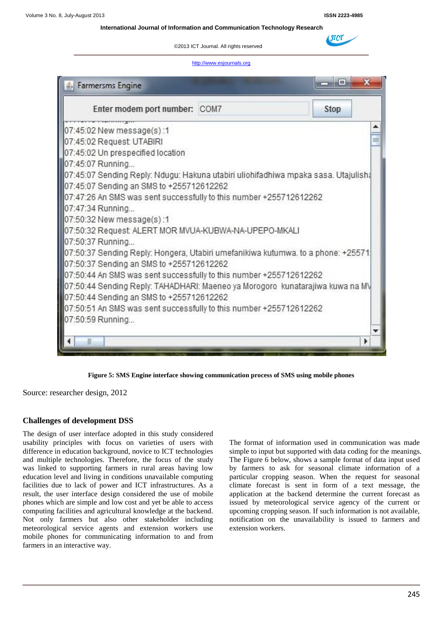**International Journal of Information and Communication Technology Research**

©2013 ICT Journal. All rights reserved

#### http://www.esjournals.org



**Figure 5: SMS Engine interface showing communication process of SMS using mobile phones**

Source: researcher design, 2012

#### **Challenges of development DSS**

The design of user interface adopted in this study considered usability principles with focus on varieties of users with difference in education background, novice to ICT technologies and multiple technologies. Therefore, the focus of the study was linked to supporting farmers in rural areas having low education level and living in conditions unavailable computing facilities due to lack of power and ICT infrastructures. As a result, the user interface design considered the use of mobile phones which are simple and low cost and yet be able to access computing facilities and agricultural knowledge at the backend. Not only farmers but also other stakeholder including meteorological service agents and extension workers use mobile phones for communicating information to and from farmers in an interactive way.

The format of information used in communication was made simple to input but supported with data coding for the meanings. The Figure 6 below, shows a sample format of data input used by farmers to ask for seasonal climate information of a particular cropping season. When the request for seasonal climate forecast is sent in form of a text message, the application at the backend determine the current forecast as issued by meteorological service agency of the current or upcoming cropping season. If such information is not available, notification on the unavailability is issued to farmers and extension workers.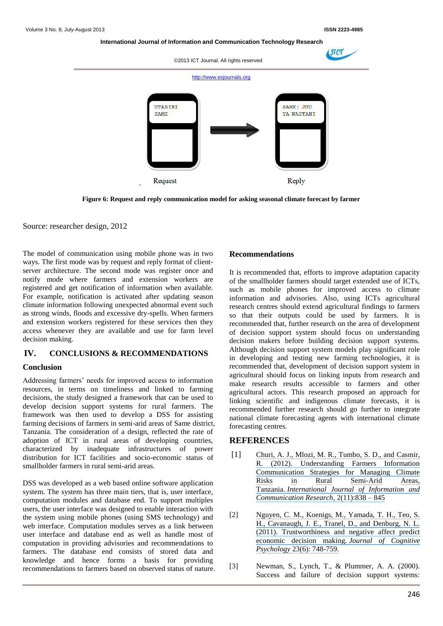**International Journal of Information and Communication Technology Research**

![](_page_9_Figure_3.jpeg)

**Figure 6: Request and reply communication model for asking seasonal climate forecast by farmer**

Source: researcher design, 2012

The model of communication using mobile phone was in two ways. The first mode was by request and reply format of clientserver architecture. The second mode was register once and notify mode where farmers and extension workers are registered and get notification of information when available. For example, notification is activated after updating season climate information following unexpected abnormal event such as strong winds, floods and excessive dry-spells. When farmers and extension workers registered for these services then they access whenever they are available and use for farm level decision making.

#### **IV. CONCLUSIONS & RECOMMENDATIONS**

#### **Conclusion**

Addressing farmers' needs for improved access to information resources, in terms on timeliness and linked to farming decisions, the study designed a framework that can be used to develop decision support systems for rural farmers. The framework was then used to develop a DSS for assisting farming decisions of farmers in semi-arid areas of Same district, Tanzania. The consideration of a design, reflected the rate of adoption of ICT in rural areas of developing countries, characterized by inadequate infrastructures of power distribution for ICT facilities and socio-economic status of smallholder farmers in rural semi-arid areas.

DSS was developed as a web based online software application system. The system has three main tiers, that is, user interface, computation modules and database end. To support multiples users, the user interface was designed to enable interaction with the system using mobile phones (using SMS technology) and web interface. Computation modules serves as a link between user interface and database end as well as handle most of computation in providing advisories and recommendations to farmers. The database end consists of stored data and knowledge and hence forms a basis for providing recommendations to farmers based on observed status of nature.

#### **Recommendations**

It is recommended that, efforts to improve adaptation capacity of the smallholder farmers should target extended use of ICTs, such as mobile phones for improved access to climate information and advisories. Also, using ICTs agricultural research centres should extend agricultural findings to farmers so that their outputs could be used by farmers. It is recommended that, further research on the area of development of decision support system should focus on understanding decision makers before building decision support systems. Although decision support system models play significant role in developing and testing new farming technologies, it is recommended that, development of decision support system in agricultural should focus on linking inputs from research and make research results accessible to farmers and other agricultural actors. This research proposed an approach for linking scientific and indigenous climate forecasts, it is recommended further research should go further to integrate national climate forecasting agents with international climate forecasting centres.

#### **REFERENCES**

- [1] [Churi, A. J., Mlozi, M. R., Tumbo, S. D., and](https://www.researchgate.net/publication/264673003_Understanding_Farmers_Information_Communication_Strategies_for_Managing_Climate_Risks_in_Rural_Semi-Arid_Areas_Tanzania?el=1_x_8&enrichId=rgreq-d0f2f52c1585934ed6573581f0aeb8c6-XXX&enrichSource=Y292ZXJQYWdlOzI2NDY3MzAzNztBUzoxMjk1NjQwMDkzMDgxNjBAMTQwNzkwMTg3NjAxOQ==) Casmir, [R. \(2012\). Understanding Farmers Information](https://www.researchgate.net/publication/264673003_Understanding_Farmers_Information_Communication_Strategies_for_Managing_Climate_Risks_in_Rural_Semi-Arid_Areas_Tanzania?el=1_x_8&enrichId=rgreq-d0f2f52c1585934ed6573581f0aeb8c6-XXX&enrichSource=Y292ZXJQYWdlOzI2NDY3MzAzNztBUzoxMjk1NjQwMDkzMDgxNjBAMTQwNzkwMTg3NjAxOQ==)  [Communication Strategies for Managing Climate](https://www.researchgate.net/publication/264673003_Understanding_Farmers_Information_Communication_Strategies_for_Managing_Climate_Risks_in_Rural_Semi-Arid_Areas_Tanzania?el=1_x_8&enrichId=rgreq-d0f2f52c1585934ed6573581f0aeb8c6-XXX&enrichSource=Y292ZXJQYWdlOzI2NDY3MzAzNztBUzoxMjk1NjQwMDkzMDgxNjBAMTQwNzkwMTg3NjAxOQ==)  [Risks in Rural Semi-Arid](https://www.researchgate.net/publication/264673003_Understanding_Farmers_Information_Communication_Strategies_for_Managing_Climate_Risks_in_Rural_Semi-Arid_Areas_Tanzania?el=1_x_8&enrichId=rgreq-d0f2f52c1585934ed6573581f0aeb8c6-XXX&enrichSource=Y292ZXJQYWdlOzI2NDY3MzAzNztBUzoxMjk1NjQwMDkzMDgxNjBAMTQwNzkwMTg3NjAxOQ==) [Areas,](https://www.researchgate.net/publication/264673003_Understanding_Farmers_Information_Communication_Strategies_for_Managing_Climate_Risks_in_Rural_Semi-Arid_Areas_Tanzania?el=1_x_8&enrichId=rgreq-d0f2f52c1585934ed6573581f0aeb8c6-XXX&enrichSource=Y292ZXJQYWdlOzI2NDY3MzAzNztBUzoxMjk1NjQwMDkzMDgxNjBAMTQwNzkwMTg3NjAxOQ==)  Tanzania. *[International Journal of Information and](https://www.researchgate.net/publication/264673003_Understanding_Farmers_Information_Communication_Strategies_for_Managing_Climate_Risks_in_Rural_Semi-Arid_Areas_Tanzania?el=1_x_8&enrichId=rgreq-d0f2f52c1585934ed6573581f0aeb8c6-XXX&enrichSource=Y292ZXJQYWdlOzI2NDY3MzAzNztBUzoxMjk1NjQwMDkzMDgxNjBAMTQwNzkwMTg3NjAxOQ==)  [Communication Research](https://www.researchgate.net/publication/264673003_Understanding_Farmers_Information_Communication_Strategies_for_Managing_Climate_Risks_in_Rural_Semi-Arid_Areas_Tanzania?el=1_x_8&enrichId=rgreq-d0f2f52c1585934ed6573581f0aeb8c6-XXX&enrichSource=Y292ZXJQYWdlOzI2NDY3MzAzNztBUzoxMjk1NjQwMDkzMDgxNjBAMTQwNzkwMTg3NjAxOQ==)*, 2(11):838 – 845
- [2] [Nguyen, C. M., Koenigs, M., Yamada, T. H., Teo, S.](https://www.researchgate.net/publication/236047949_Trustworthiness_and_Negative_Affect_Predict_Economic_Decision-Making?el=1_x_8&enrichId=rgreq-d0f2f52c1585934ed6573581f0aeb8c6-XXX&enrichSource=Y292ZXJQYWdlOzI2NDY3MzAzNztBUzoxMjk1NjQwMDkzMDgxNjBAMTQwNzkwMTg3NjAxOQ==)  [H., Cavanaugh, J. E., Tranel, D., and Denburg, N. L.](https://www.researchgate.net/publication/236047949_Trustworthiness_and_Negative_Affect_Predict_Economic_Decision-Making?el=1_x_8&enrichId=rgreq-d0f2f52c1585934ed6573581f0aeb8c6-XXX&enrichSource=Y292ZXJQYWdlOzI2NDY3MzAzNztBUzoxMjk1NjQwMDkzMDgxNjBAMTQwNzkwMTg3NjAxOQ==) (2011). Trustworthiness [and negative affect predict](https://www.researchgate.net/publication/236047949_Trustworthiness_and_Negative_Affect_Predict_Economic_Decision-Making?el=1_x_8&enrichId=rgreq-d0f2f52c1585934ed6573581f0aeb8c6-XXX&enrichSource=Y292ZXJQYWdlOzI2NDY3MzAzNztBUzoxMjk1NjQwMDkzMDgxNjBAMTQwNzkwMTg3NjAxOQ==)  [economic decision making.](https://www.researchgate.net/publication/236047949_Trustworthiness_and_Negative_Affect_Predict_Economic_Decision-Making?el=1_x_8&enrichId=rgreq-d0f2f52c1585934ed6573581f0aeb8c6-XXX&enrichSource=Y292ZXJQYWdlOzI2NDY3MzAzNztBUzoxMjk1NjQwMDkzMDgxNjBAMTQwNzkwMTg3NjAxOQ==) *Journal of Cognitive Psychology* [23\(6\): 748-759.](https://www.researchgate.net/publication/236047949_Trustworthiness_and_Negative_Affect_Predict_Economic_Decision-Making?el=1_x_8&enrichId=rgreq-d0f2f52c1585934ed6573581f0aeb8c6-XXX&enrichSource=Y292ZXJQYWdlOzI2NDY3MzAzNztBUzoxMjk1NjQwMDkzMDgxNjBAMTQwNzkwMTg3NjAxOQ==)
- [3] Newman, S., Lynch, T., & Plummer, A. A. (2000). Success and failure of decision support systems: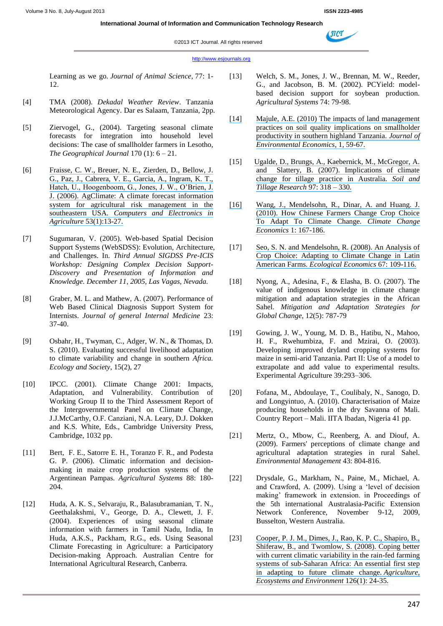#### ©2013 ICT Journal. All rights reserved

#### http://www.esjournals.org

Learning as we go. *Journal of Animal Science*, 77: 1- 12.

- [4] TMA (2008). *Dekadal Weather Review*. Tanzania Meteorological Agency. Dar es Salaam, Tanzania, 2pp.
- [5] Ziervogel, G., (2004). Targeting seasonal climate forecasts for integration into household level decisions: The case of smallholder farmers in Lesotho, *The Geographical Journal* 170 (1): 6 – 21.
- [6] [Fraisse, C. W., Breuer, N. E., Zierden, D., Bellow, J.](https://www.researchgate.net/publication/222700032_AgClimate_A_climate_forecast_information_system_for_agricultural_risk_management_in_the_southeastern_USA?el=1_x_8&enrichId=rgreq-d0f2f52c1585934ed6573581f0aeb8c6-XXX&enrichSource=Y292ZXJQYWdlOzI2NDY3MzAzNztBUzoxMjk1NjQwMDkzMDgxNjBAMTQwNzkwMTg3NjAxOQ==)  [G., Paz, J., Cabrera, V. E., Garcia, A., Ingram, K. T.,](https://www.researchgate.net/publication/222700032_AgClimate_A_climate_forecast_information_system_for_agricultural_risk_management_in_the_southeastern_USA?el=1_x_8&enrichId=rgreq-d0f2f52c1585934ed6573581f0aeb8c6-XXX&enrichSource=Y292ZXJQYWdlOzI2NDY3MzAzNztBUzoxMjk1NjQwMDkzMDgxNjBAMTQwNzkwMTg3NjAxOQ==)  [Hatch, U., Hoogenboom, G., Jones, J. W., O'Brien, J.](https://www.researchgate.net/publication/222700032_AgClimate_A_climate_forecast_information_system_for_agricultural_risk_management_in_the_southeastern_USA?el=1_x_8&enrichId=rgreq-d0f2f52c1585934ed6573581f0aeb8c6-XXX&enrichSource=Y292ZXJQYWdlOzI2NDY3MzAzNztBUzoxMjk1NjQwMDkzMDgxNjBAMTQwNzkwMTg3NjAxOQ==)  [J. \(2006\). AgClimate: A climate forecast information](https://www.researchgate.net/publication/222700032_AgClimate_A_climate_forecast_information_system_for_agricultural_risk_management_in_the_southeastern_USA?el=1_x_8&enrichId=rgreq-d0f2f52c1585934ed6573581f0aeb8c6-XXX&enrichSource=Y292ZXJQYWdlOzI2NDY3MzAzNztBUzoxMjk1NjQwMDkzMDgxNjBAMTQwNzkwMTg3NjAxOQ==)  [system for agricultural risk management in the](https://www.researchgate.net/publication/222700032_AgClimate_A_climate_forecast_information_system_for_agricultural_risk_management_in_the_southeastern_USA?el=1_x_8&enrichId=rgreq-d0f2f52c1585934ed6573581f0aeb8c6-XXX&enrichSource=Y292ZXJQYWdlOzI2NDY3MzAzNztBUzoxMjk1NjQwMDkzMDgxNjBAMTQwNzkwMTg3NjAxOQ==)  southeastern USA. *[Computers and Electronics in](https://www.researchgate.net/publication/222700032_AgClimate_A_climate_forecast_information_system_for_agricultural_risk_management_in_the_southeastern_USA?el=1_x_8&enrichId=rgreq-d0f2f52c1585934ed6573581f0aeb8c6-XXX&enrichSource=Y292ZXJQYWdlOzI2NDY3MzAzNztBUzoxMjk1NjQwMDkzMDgxNjBAMTQwNzkwMTg3NjAxOQ==)  Agriculture* [53\(1\):13-27.](https://www.researchgate.net/publication/222700032_AgClimate_A_climate_forecast_information_system_for_agricultural_risk_management_in_the_southeastern_USA?el=1_x_8&enrichId=rgreq-d0f2f52c1585934ed6573581f0aeb8c6-XXX&enrichSource=Y292ZXJQYWdlOzI2NDY3MzAzNztBUzoxMjk1NjQwMDkzMDgxNjBAMTQwNzkwMTg3NjAxOQ==)
- [7] Sugumaran, V. (2005). Web-based Spatial Decision Support Systems (WebSDSS): Evolution, Architecture, and Challenges. In. *Third Annual SIGDSS Pre-ICIS Workshop: Designing Complex Decision Support-Discovery and Presentation of Information and Knowledge. December 11, 2005, Las Vagas, Nevada.*
- [8] Graber, M. L. and Mathew, A. (2007). Performance of Web Based Clinical Diagnosis Support System for Internists. *Journal of general Internal Medicine* 23: 37-40.
- [9] Osbahr, H., Twyman, C., Adger, W. N., & Thomas, D. S. (2010). Evaluating successful livelihood adaptation to climate variability and change in southern *Africa. Ecology and Society*, 15(2), 27
- [10] IPCC. (2001). Climate Change 2001: Impacts, Adaptation, and Vulnerability. Contribution of Working Group II to the Third Assessment Report of the Intergovernmental Panel on Climate Change, J.J.McCarthy, O.F. Canziani, N.A. Leary, D.J. Dokken and K.S. White, Eds., Cambridge University Press, Cambridge, 1032 pp.
- [11] Bert, F. E., Satorre E. H., Toranzo F. R., and Podesta G. P. (2006). Climatic information and decisionmaking in maize crop production systems of the Argentinean Pampas. *Agricultural Systems* 88: 180- 204.
- [12] Huda, A. K. S., Selvaraju, R., Balasubramanian, T. N., Geethalakshmi, V., George, D. A., Clewett, J. F. (2004). Experiences of using seasonal climate information with farmers in Tamil Nadu, India, In Huda, A.K.S., Packham, R.G., eds. Using Seasonal Climate Forecasting in Agriculture: a Participatory Decision-making Approach. Australian Centre for International Agricultural Research, Canberra.
- [13] Welch, S. M., Jones, J. W., Brennan, M. W., Reeder, G., and Jacobson, B. M. (2002). PCYield: modelbased decision support for soybean production. *Agricultural Systems* 74: 79-98.
- [\[14\]](https://www.researchgate.net/publication/285785776_The_impact_of_land_management_practices_on_soil_quality_and_implications_on_smallholder_productivity?el=1_x_8&enrichId=rgreq-d0f2f52c1585934ed6573581f0aeb8c6-XXX&enrichSource=Y292ZXJQYWdlOzI2NDY3MzAzNztBUzoxMjk1NjQwMDkzMDgxNjBAMTQwNzkwMTg3NjAxOQ==) [Majule, A.E. \(2010\) The impacts of land management](https://www.researchgate.net/publication/285785776_The_impact_of_land_management_practices_on_soil_quality_and_implications_on_smallholder_productivity?el=1_x_8&enrichId=rgreq-d0f2f52c1585934ed6573581f0aeb8c6-XXX&enrichSource=Y292ZXJQYWdlOzI2NDY3MzAzNztBUzoxMjk1NjQwMDkzMDgxNjBAMTQwNzkwMTg3NjAxOQ==)  [practices on soil quality implications on smallholder](https://www.researchgate.net/publication/285785776_The_impact_of_land_management_practices_on_soil_quality_and_implications_on_smallholder_productivity?el=1_x_8&enrichId=rgreq-d0f2f52c1585934ed6573581f0aeb8c6-XXX&enrichSource=Y292ZXJQYWdlOzI2NDY3MzAzNztBUzoxMjk1NjQwMDkzMDgxNjBAMTQwNzkwMTg3NjAxOQ==)  [productivity in southern highland Tanzania.](https://www.researchgate.net/publication/285785776_The_impact_of_land_management_practices_on_soil_quality_and_implications_on_smallholder_productivity?el=1_x_8&enrichId=rgreq-d0f2f52c1585934ed6573581f0aeb8c6-XXX&enrichSource=Y292ZXJQYWdlOzI2NDY3MzAzNztBUzoxMjk1NjQwMDkzMDgxNjBAMTQwNzkwMTg3NjAxOQ==) *Journal of [Environmental Economics](https://www.researchgate.net/publication/285785776_The_impact_of_land_management_practices_on_soil_quality_and_implications_on_smallholder_productivity?el=1_x_8&enrichId=rgreq-d0f2f52c1585934ed6573581f0aeb8c6-XXX&enrichSource=Y292ZXJQYWdlOzI2NDY3MzAzNztBUzoxMjk1NjQwMDkzMDgxNjBAMTQwNzkwMTg3NjAxOQ==)*, 1, 59-67.
- [15] [Ugalde, D., Brungs, A., Kaebernick, M., McGregor, A.](https://www.researchgate.net/publication/248301343_Implications_of_climate_change_for_tillage_practice_in_Australia?el=1_x_8&enrichId=rgreq-d0f2f52c1585934ed6573581f0aeb8c6-XXX&enrichSource=Y292ZXJQYWdlOzI2NDY3MzAzNztBUzoxMjk1NjQwMDkzMDgxNjBAMTQwNzkwMTg3NjAxOQ==) [and Slattery, B. \(2007\). Implications of climate](https://www.researchgate.net/publication/248301343_Implications_of_climate_change_for_tillage_practice_in_Australia?el=1_x_8&enrichId=rgreq-d0f2f52c1585934ed6573581f0aeb8c6-XXX&enrichSource=Y292ZXJQYWdlOzI2NDY3MzAzNztBUzoxMjk1NjQwMDkzMDgxNjBAMTQwNzkwMTg3NjAxOQ==)  [change for tillage practice in Australia.](https://www.researchgate.net/publication/248301343_Implications_of_climate_change_for_tillage_practice_in_Australia?el=1_x_8&enrichId=rgreq-d0f2f52c1585934ed6573581f0aeb8c6-XXX&enrichSource=Y292ZXJQYWdlOzI2NDY3MzAzNztBUzoxMjk1NjQwMDkzMDgxNjBAMTQwNzkwMTg3NjAxOQ==) *Soil and [Tillage Research](https://www.researchgate.net/publication/248301343_Implications_of_climate_change_for_tillage_practice_in_Australia?el=1_x_8&enrichId=rgreq-d0f2f52c1585934ed6573581f0aeb8c6-XXX&enrichSource=Y292ZXJQYWdlOzI2NDY3MzAzNztBUzoxMjk1NjQwMDkzMDgxNjBAMTQwNzkwMTg3NjAxOQ==)* 97: 318 – 330.
- [\[16\]](https://www.researchgate.net/publication/227651797_How_Chinese_farmers_change_crop_choice_to_adapt_to_climate_change?el=1_x_8&enrichId=rgreq-d0f2f52c1585934ed6573581f0aeb8c6-XXX&enrichSource=Y292ZXJQYWdlOzI2NDY3MzAzNztBUzoxMjk1NjQwMDkzMDgxNjBAMTQwNzkwMTg3NjAxOQ==) [Wang, J., Mendelsohn, R., Dinar, A. and Huang. J.](https://www.researchgate.net/publication/227651797_How_Chinese_farmers_change_crop_choice_to_adapt_to_climate_change?el=1_x_8&enrichId=rgreq-d0f2f52c1585934ed6573581f0aeb8c6-XXX&enrichSource=Y292ZXJQYWdlOzI2NDY3MzAzNztBUzoxMjk1NjQwMDkzMDgxNjBAMTQwNzkwMTg3NjAxOQ==)  [\(2010\). How Chinese Farmers Change Crop Choice](https://www.researchgate.net/publication/227651797_How_Chinese_farmers_change_crop_choice_to_adapt_to_climate_change?el=1_x_8&enrichId=rgreq-d0f2f52c1585934ed6573581f0aeb8c6-XXX&enrichSource=Y292ZXJQYWdlOzI2NDY3MzAzNztBUzoxMjk1NjQwMDkzMDgxNjBAMTQwNzkwMTg3NjAxOQ==)  [To Adapt To Climate Change.](https://www.researchgate.net/publication/227651797_How_Chinese_farmers_change_crop_choice_to_adapt_to_climate_change?el=1_x_8&enrichId=rgreq-d0f2f52c1585934ed6573581f0aeb8c6-XXX&enrichSource=Y292ZXJQYWdlOzI2NDY3MzAzNztBUzoxMjk1NjQwMDkzMDgxNjBAMTQwNzkwMTg3NjAxOQ==) *Climate Change Economics* [1: 167-186.](https://www.researchgate.net/publication/227651797_How_Chinese_farmers_change_crop_choice_to_adapt_to_climate_change?el=1_x_8&enrichId=rgreq-d0f2f52c1585934ed6573581f0aeb8c6-XXX&enrichSource=Y292ZXJQYWdlOzI2NDY3MzAzNztBUzoxMjk1NjQwMDkzMDgxNjBAMTQwNzkwMTg3NjAxOQ==)
- [17] [Seo, S. N. and Mendelsohn, R. \(2008\). An Analysis of](https://www.researchgate.net/publication/222816680_An_Analysis_of_Crop_Choice_Adapting_to_Climate_Change_in_Latin_American_Farms?el=1_x_8&enrichId=rgreq-d0f2f52c1585934ed6573581f0aeb8c6-XXX&enrichSource=Y292ZXJQYWdlOzI2NDY3MzAzNztBUzoxMjk1NjQwMDkzMDgxNjBAMTQwNzkwMTg3NjAxOQ==)  [Crop Choice: Adapting to Climate Change in Latin](https://www.researchgate.net/publication/222816680_An_Analysis_of_Crop_Choice_Adapting_to_Climate_Change_in_Latin_American_Farms?el=1_x_8&enrichId=rgreq-d0f2f52c1585934ed6573581f0aeb8c6-XXX&enrichSource=Y292ZXJQYWdlOzI2NDY3MzAzNztBUzoxMjk1NjQwMDkzMDgxNjBAMTQwNzkwMTg3NjAxOQ==)  American Farms. *[Ecological Economics](https://www.researchgate.net/publication/222816680_An_Analysis_of_Crop_Choice_Adapting_to_Climate_Change_in_Latin_American_Farms?el=1_x_8&enrichId=rgreq-d0f2f52c1585934ed6573581f0aeb8c6-XXX&enrichSource=Y292ZXJQYWdlOzI2NDY3MzAzNztBUzoxMjk1NjQwMDkzMDgxNjBAMTQwNzkwMTg3NjAxOQ==)* 67: 109-116.
- [18] Nyong, A., Adesina, F., & Elasha, B. O. (2007). The value of indigenous knowledge in climate change mitigation and adaptation strategies in the African Sahel. *Mitigation and Adaptation Strategies for Global Change*, 12(5): 787-79
- [19] Gowing, J. W., Young, M. D. B., Hatibu, N., Mahoo, H. F., Rwehumbiza, F. and Mzirai, O. (2003). Developing improved dryland cropping systems for maize in semi-arid Tanzania. Part II: Use of a model to extrapolate and add value to experimental results. Experimental Agriculture 39:293–306.
- [20] Fofana, M., Abdoulaye, T., Coulibaly, N., Sanogo, D. and Longyintuo, A. (2010). Characterisation of Maize producing households in the dry Savanna of Mali. Country Report – Mali. IITA Ibadan, Nigeria 41 pp.
- [21] Mertz, O., Mbow, C., Reenberg, A. and Diouf, A. (2009). Farmers' perceptions of climate change and agricultural adaptation strategies in rural Sahel. *Environmental Management* 43: 804-816.
- [22] Drysdale, G., Markham, N., Paine, M., Michael, A. and Crawford, A. (2009). Using a 'level of decision making' framework in extension. in Proceedings of the 5th international Australasia-Pacific Extension Network Conference, November 9-12, 2009, Busselton, Western Australia.
- [23] [Cooper, P. J. M., Dimes, J., Rao, K. P. C., Shapiro, B.,](https://www.researchgate.net/publication/222430626_Coping_better_with_current_climatic_variability_in_the_rain-fed_farming_systems_of_sub-Saharan_Africa_An_essential_first_step_in_adapting_to_future_climate_change?el=1_x_8&enrichId=rgreq-d0f2f52c1585934ed6573581f0aeb8c6-XXX&enrichSource=Y292ZXJQYWdlOzI2NDY3MzAzNztBUzoxMjk1NjQwMDkzMDgxNjBAMTQwNzkwMTg3NjAxOQ==)  [Shiferaw, B., and Twomlow, S. \(2008\). Coping better](https://www.researchgate.net/publication/222430626_Coping_better_with_current_climatic_variability_in_the_rain-fed_farming_systems_of_sub-Saharan_Africa_An_essential_first_step_in_adapting_to_future_climate_change?el=1_x_8&enrichId=rgreq-d0f2f52c1585934ed6573581f0aeb8c6-XXX&enrichSource=Y292ZXJQYWdlOzI2NDY3MzAzNztBUzoxMjk1NjQwMDkzMDgxNjBAMTQwNzkwMTg3NjAxOQ==)  [with current climatic variability in the rain-fed farming](https://www.researchgate.net/publication/222430626_Coping_better_with_current_climatic_variability_in_the_rain-fed_farming_systems_of_sub-Saharan_Africa_An_essential_first_step_in_adapting_to_future_climate_change?el=1_x_8&enrichId=rgreq-d0f2f52c1585934ed6573581f0aeb8c6-XXX&enrichSource=Y292ZXJQYWdlOzI2NDY3MzAzNztBUzoxMjk1NjQwMDkzMDgxNjBAMTQwNzkwMTg3NjAxOQ==)  [systems of sub-Saharan Africa: An essential first step](https://www.researchgate.net/publication/222430626_Coping_better_with_current_climatic_variability_in_the_rain-fed_farming_systems_of_sub-Saharan_Africa_An_essential_first_step_in_adapting_to_future_climate_change?el=1_x_8&enrichId=rgreq-d0f2f52c1585934ed6573581f0aeb8c6-XXX&enrichSource=Y292ZXJQYWdlOzI2NDY3MzAzNztBUzoxMjk1NjQwMDkzMDgxNjBAMTQwNzkwMTg3NjAxOQ==)  [in adapting to future climate change.](https://www.researchgate.net/publication/222430626_Coping_better_with_current_climatic_variability_in_the_rain-fed_farming_systems_of_sub-Saharan_Africa_An_essential_first_step_in_adapting_to_future_climate_change?el=1_x_8&enrichId=rgreq-d0f2f52c1585934ed6573581f0aeb8c6-XXX&enrichSource=Y292ZXJQYWdlOzI2NDY3MzAzNztBUzoxMjk1NjQwMDkzMDgxNjBAMTQwNzkwMTg3NjAxOQ==) *Agriculture, [Ecosystems and Environment](https://www.researchgate.net/publication/222430626_Coping_better_with_current_climatic_variability_in_the_rain-fed_farming_systems_of_sub-Saharan_Africa_An_essential_first_step_in_adapting_to_future_climate_change?el=1_x_8&enrichId=rgreq-d0f2f52c1585934ed6573581f0aeb8c6-XXX&enrichSource=Y292ZXJQYWdlOzI2NDY3MzAzNztBUzoxMjk1NjQwMDkzMDgxNjBAMTQwNzkwMTg3NjAxOQ==)* 126(1): 24-35.